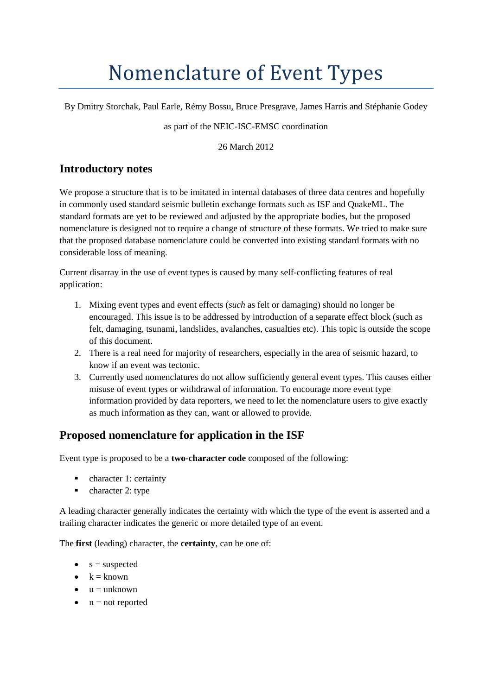# Nomenclature of Event Types

By Dmitry Storchak, Paul Earle, Rémy Bossu, Bruce Presgrave, James Harris and Stéphanie Godey

#### as part of the NEIC-ISC-EMSC coordination

26 March 2012

## **Introductory notes**

We propose a structure that is to be imitated in internal databases of three data centres and hopefully in commonly used standard seismic bulletin exchange formats such as ISF and QuakeML. The standard formats are yet to be reviewed and adjusted by the appropriate bodies, but the proposed nomenclature is designed not to require a change of structure of these formats. We tried to make sure that the proposed database nomenclature could be converted into existing standard formats with no considerable loss of meaning.

Current disarray in the use of event types is caused by many self-conflicting features of real application:

- 1. Mixing event types and event effects (*such* as felt or damaging) should no longer be encouraged. This issue is to be addressed by introduction of a separate effect block (such as felt, damaging, tsunami, landslides, avalanches, casualties etc). This topic is outside the scope of this document.
- 2. There is a real need for majority of researchers, especially in the area of seismic hazard, to know if an event was tectonic.
- 3. Currently used nomenclatures do not allow sufficiently general event types. This causes either misuse of event types or withdrawal of information. To encourage more event type information provided by data reporters, we need to let the nomenclature users to give exactly as much information as they can, want or allowed to provide.

## **Proposed nomenclature for application in the ISF**

Event type is proposed to be a **two-character code** composed of the following:

- character 1: certainty
- character 2: type

A leading character generally indicates the certainty with which the type of the event is asserted and a trailing character indicates the generic or more detailed type of an event.

The **first** (leading) character, the **certainty**, can be one of:

- $\bullet$  s = suspected
- $\bullet$   $k =$  known
- $u =$ unknown
- $\bullet$  n = not reported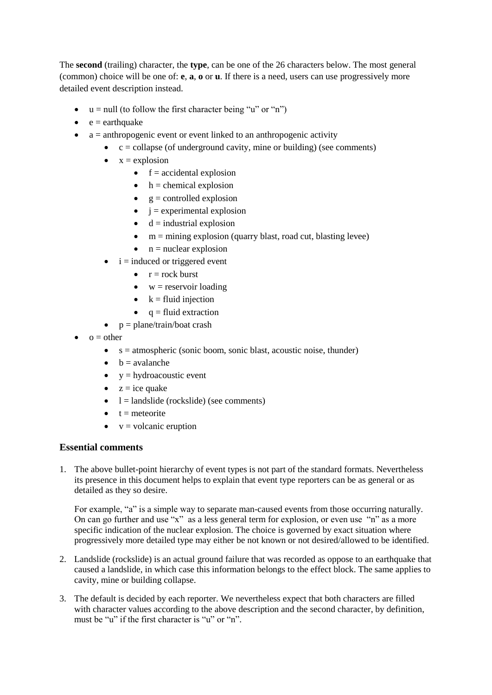The **second** (trailing) character, the **type**, can be one of the 26 characters below. The most general (common) choice will be one of: **e**, **a**, **o** or **u**. If there is a need, users can use progressively more detailed event description instead.

- $\bullet$   $u = null$  (to follow the first character being "u" or "n")
- $e =$  earthquake
- $\bullet$  a = anthropogenic event or event linked to an anthropogenic activity
	- $\bullet$   $c =$  collapse (of underground cavity, mine or building) (see comments)
	- $\bullet$   $x =$  explosion
		- $\bullet$  f = accidental explosion
		- $h =$ chemical explosion
		- $g =$  controlled explosion
		- $\bullet$  i = experimental explosion
		- $\bullet$  d = industrial explosion
		- $\bullet$  m = mining explosion (quarry blast, road cut, blasting levee)
		- $n =$  nuclear explosion
	- $i =$  induced or triggered event
		- $r = rock$  burst
		- $\bullet$  w = reservoir loading
		- $\bullet$  k = fluid injection
		- $q = fluid extraction$
	- $\bullet$  p = plane/train/boat crash
- $o = other$ 
	- $\bullet$  s = atmospheric (sonic boom, sonic blast, acoustic noise, thunder)
	- $\bullet$  b = avalanche
	- $\bullet$  y = hydroacoustic event
	- $\bullet$  z = ice quake
	- $\bullet$  l = landslide (rockslide) (see comments)
	- $t =$  meteorite
	- $\bullet$  v = volcanic eruption

#### **Essential comments**

1. The above bullet-point hierarchy of event types is not part of the standard formats. Nevertheless its presence in this document helps to explain that event type reporters can be as general or as detailed as they so desire.

For example, "a" is a simple way to separate man-caused events from those occurring naturally. On can go further and use "x" as a less general term for explosion, or even use "n" as a more specific indication of the nuclear explosion. The choice is governed by exact situation where progressively more detailed type may either be not known or not desired/allowed to be identified.

- 2. Landslide (rockslide) is an actual ground failure that was recorded as oppose to an earthquake that caused a landslide, in which case this information belongs to the effect block. The same applies to cavity, mine or building collapse.
- 3. The default is decided by each reporter. We nevertheless expect that both characters are filled with character values according to the above description and the second character, by definition, must be "u" if the first character is "u" or "n".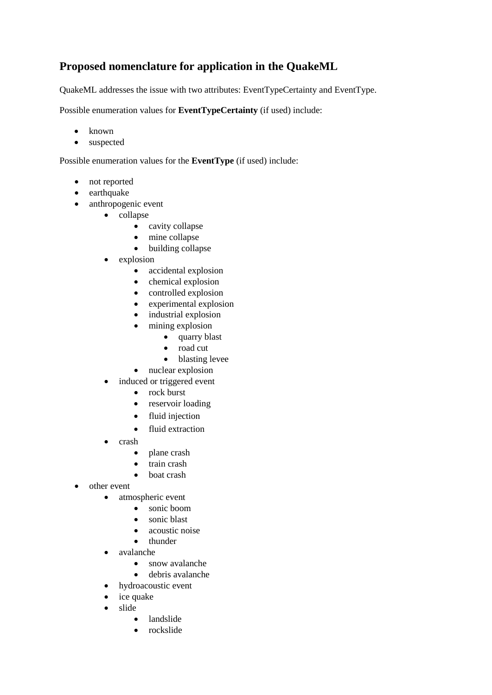## **Proposed nomenclature for application in the QuakeML**

QuakeML addresses the issue with two attributes: EventTypeCertainty and EventType.

Possible enumeration values for **EventTypeCertainty** (if used) include:

- known
- suspected

Possible enumeration values for the **EventType** (if used) include:

- not reported
- earthquake
- anthropogenic event
	- collapse
		- cavity collapse
		- mine collapse
		- building collapse
	- explosion
		- accidental explosion
		- chemical explosion
		- controlled explosion
		- experimental explosion
		- industrial explosion
		- mining explosion
			- quarry blast
			- road cut
			- blasting levee
		- nuclear explosion
	- induced or triggered event
		- rock burst
		- reservoir loading
		- fluid injection
		- fluid extraction
	- crash
		- plane crash
		- train crash
		- boat crash
- other event
	- atmospheric event
		- sonic boom
		- sonic blast
		- acoustic noise
		- thunder
	- avalanche
		- snow avalanche
		- debris avalanche
	- hydroacoustic event
	- ice quake
	- slide
		- landslide
		- rockslide